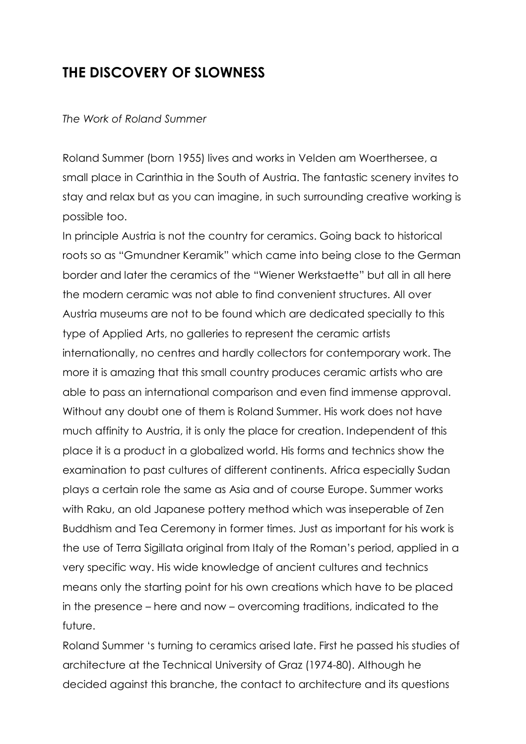## **THE DISCOVERY OF SLOWNESS**

## *The Work of Roland Summer*

Roland Summer (born 1955) lives and works in Velden am Woerthersee, a small place in Carinthia in the South of Austria. The fantastic scenery invites to stay and relax but as you can imagine, in such surrounding creative working is possible too.

In principle Austria is not the country for ceramics. Going back to historical roots so as "Gmundner Keramik" which came into being close to the German border and later the ceramics of the "Wiener Werkstaette" but all in all here the modern ceramic was not able to find convenient structures. All over Austria museums are not to be found which are dedicated specially to this type of Applied Arts, no galleries to represent the ceramic artists internationally, no centres and hardly collectors for contemporary work. The more it is amazing that this small country produces ceramic artists who are able to pass an international comparison and even find immense approval. Without any doubt one of them is Roland Summer. His work does not have much affinity to Austria, it is only the place for creation. Independent of this place it is a product in a globalized world. His forms and technics show the examination to past cultures of different continents. Africa especially Sudan plays a certain role the same as Asia and of course Europe. Summer works with Raku, an old Japanese pottery method which was inseperable of Zen Buddhism and Tea Ceremony in former times. Just as important for his work is the use of Terra Sigillata original from Italy of the Roman's period, applied in a very specific way. His wide knowledge of ancient cultures and technics means only the starting point for his own creations which have to be placed in the presence – here and now – overcoming traditions, indicated to the future.

Roland Summer 's turning to ceramics arised late. First he passed his studies of architecture at the Technical University of Graz (1974-80). Although he decided against this branche, the contact to architecture and its questions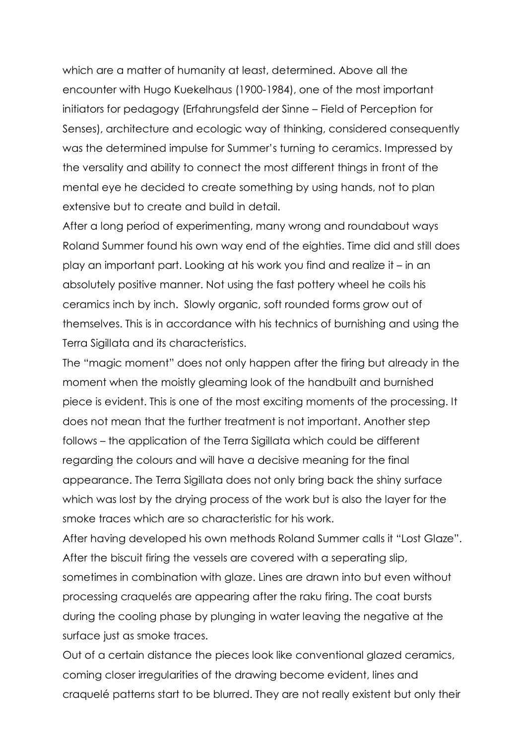which are a matter of humanity at least, determined. Above all the encounter with Hugo Kuekelhaus (1900-1984), one of the most important initiators for pedagogy (Erfahrungsfeld der Sinne – Field of Perception for Senses), architecture and ecologic way of thinking, considered consequently was the determined impulse for Summer's turning to ceramics. Impressed by the versality and ability to connect the most different things in front of the mental eye he decided to create something by using hands, not to plan extensive but to create and build in detail.

After a long period of experimenting, many wrong and roundabout ways Roland Summer found his own way end of the eighties. Time did and still does play an important part. Looking at his work you find and realize it – in an absolutely positive manner. Not using the fast pottery wheel he coils his ceramics inch by inch. Slowly organic, soft rounded forms grow out of themselves. This is in accordance with his technics of burnishing and using the Terra Sigillata and its characteristics.

The "magic moment" does not only happen after the firing but already in the moment when the moistly gleaming look of the handbuilt and burnished piece is evident. This is one of the most exciting moments of the processing. It does not mean that the further treatment is not important. Another step follows – the application of the Terra Sigillata which could be different regarding the colours and will have a decisive meaning for the final appearance. The Terra Sigillata does not only bring back the shiny surface which was lost by the drying process of the work but is also the layer for the smoke traces which are so characteristic for his work.

After having developed his own methods Roland Summer calls it "Lost Glaze". After the biscuit firing the vessels are covered with a seperating slip, sometimes in combination with glaze. Lines are drawn into but even without processing craquelés are appearing after the raku firing. The coat bursts during the cooling phase by plunging in water leaving the negative at the surface just as smoke traces.

Out of a certain distance the pieces look like conventional glazed ceramics, coming closer irregularities of the drawing become evident, lines and craquelé patterns start to be blurred. They are not really existent but only their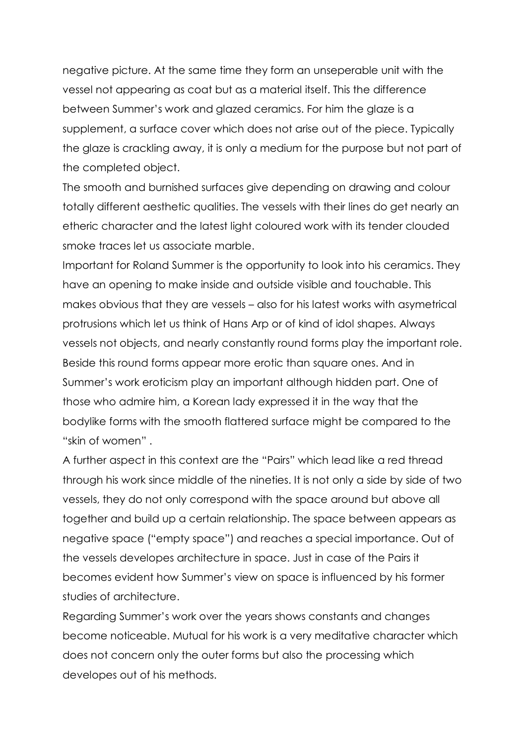negative picture. At the same time they form an unseperable unit with the vessel not appearing as coat but as a material itself. This the difference between Summer's work and glazed ceramics. For him the glaze is a supplement, a surface cover which does not arise out of the piece. Typically the glaze is crackling away, it is only a medium for the purpose but not part of the completed object.

The smooth and burnished surfaces give depending on drawing and colour totally different aesthetic qualities. The vessels with their lines do get nearly an etheric character and the latest light coloured work with its tender clouded smoke traces let us associate marble.

Important for Roland Summer is the opportunity to look into his ceramics. They have an opening to make inside and outside visible and touchable. This makes obvious that they are vessels – also for his latest works with asymetrical protrusions which let us think of Hans Arp or of kind of idol shapes. Always vessels not objects, and nearly constantly round forms play the important role. Beside this round forms appear more erotic than square ones. And in Summer's work eroticism play an important although hidden part. One of those who admire him, a Korean lady expressed it in the way that the bodylike forms with the smooth flattered surface might be compared to the "skin of women" .

A further aspect in this context are the "Pairs" which lead like a red thread through his work since middle of the nineties. It is not only a side by side of two vessels, they do not only correspond with the space around but above all together and build up a certain relationship. The space between appears as negative space ("empty space") and reaches a special importance. Out of the vessels developes architecture in space. Just in case of the Pairs it becomes evident how Summer's view on space is influenced by his former studies of architecture.

Regarding Summer's work over the years shows constants and changes become noticeable. Mutual for his work is a very meditative character which does not concern only the outer forms but also the processing which developes out of his methods.